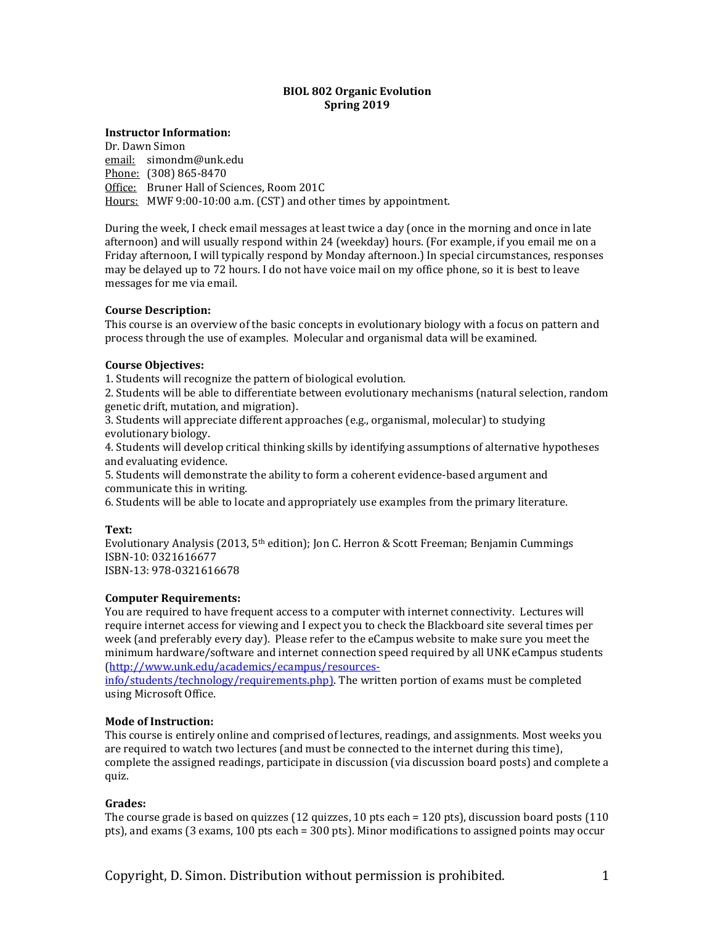### **BIOL 802 Organic Evolution Spring 2019**

### **Instructor Information:**

Dr. Dawn Simon email: simondm@unk.edu Phone: (308) 865-8470 Office: Bruner Hall of Sciences, Room 201C Hours: MWF 9:00-10:00 a.m. (CST) and other times by appointment.

During the week, I check email messages at least twice a day (once in the morning and once in late afternoon) and will usually respond within 24 (weekday) hours. (For example, if you email me on a Friday afternoon, I will typically respond by Monday afternoon.) In special circumstances, responses may be delayed up to 72 hours. I do not have voice mail on my office phone, so it is best to leave messages for me via email.

## **Course Description:**

This course is an overview of the basic concepts in evolutionary biology with a focus on pattern and process through the use of examples. Molecular and organismal data will be examined.

#### **Course Objectives:**

1. Students will recognize the pattern of biological evolution.

2. Students will be able to differentiate between evolutionary mechanisms (natural selection, random genetic drift, mutation, and migration).

3. Students will appreciate different approaches (e.g., organismal, molecular) to studying evolutionary biology.

4. Students will develop critical thinking skills by identifying assumptions of alternative hypotheses and evaluating evidence.

5. Students will demonstrate the ability to form a coherent evidence-based argument and communicate this in writing.

6. Students will be able to locate and appropriately use examples from the primary literature.

#### **Text:**

Evolutionary Analysis (2013, 5th edition); Jon C. Herron & Scott Freeman; Benjamin Cummings ISBN-10: 0321616677 ISBN-13: 978-0321616678

## **Computer Requirements:**

You are required to have frequent access to a computer with internet connectivity. Lectures will require internet access for viewing and I expect you to check the Blackboard site several times per week (and preferably every day). Please refer to the eCampus website to make sure you meet the minimum hardware/software and internet connection speed required by all UNK eCampus students [\(http://www.unk.edu/academics/ecampus/resources-](http://www.unk.edu/academics/ecampus/resources-info/students/technology/requirements.php))

[info/students/technology/requirements.php\).](http://www.unk.edu/academics/ecampus/resources-info/students/technology/requirements.php)) The written portion of exams must be completed using Microsoft Office.

## **Mode of Instruction:**

This course is entirely online and comprised of lectures, readings, and assignments. Most weeks you are required to watch two lectures (and must be connected to the internet during this time), complete the assigned readings, participate in discussion (via discussion board posts) and complete a quiz.

## **Grades:**

The course grade is based on quizzes (12 quizzes, 10 pts each = 120 pts), discussion board posts (110 pts), and exams (3 exams, 100 pts each = 300 pts). Minor modifications to assigned points may occur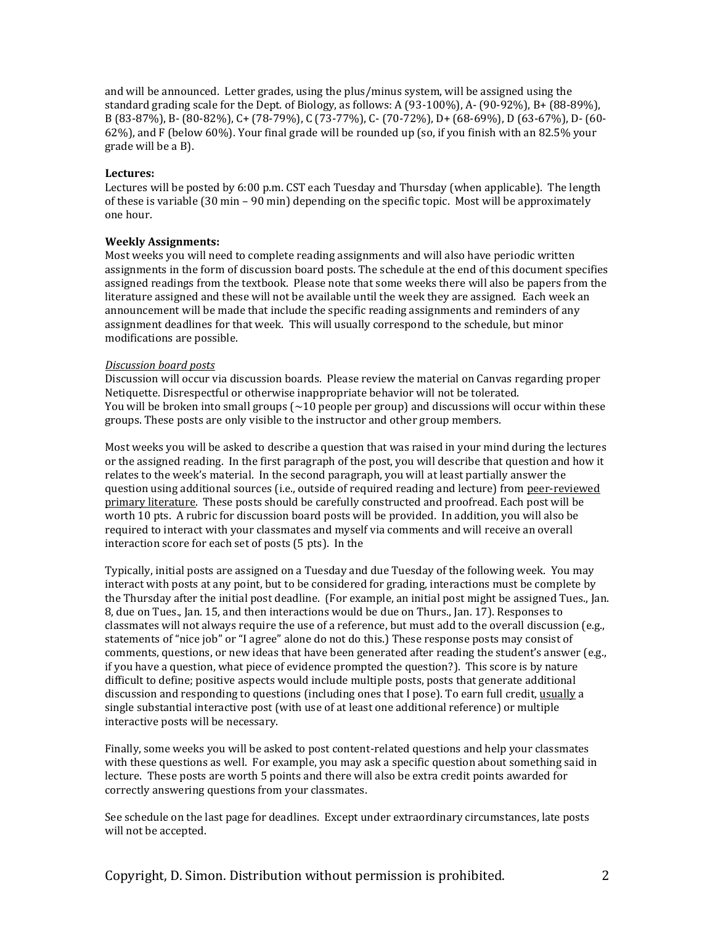and will be announced. Letter grades, using the plus/minus system, will be assigned using the standard grading scale for the Dept. of Biology, as follows: A (93-100%), A- (90-92%), B+ (88-89%), B (83-87%), B- (80-82%), C+ (78-79%), C (73-77%), C- (70-72%), D+ (68-69%), D (63-67%), D- (60- 62%), and F (below 60%). Your final grade will be rounded up (so, if you finish with an 82.5% your grade will be a B).

### **Lectures:**

Lectures will be posted by 6:00 p.m. CST each Tuesday and Thursday (when applicable). The length of these is variable (30 min – 90 min) depending on the specific topic. Most will be approximately one hour.

## **Weekly Assignments:**

Most weeks you will need to complete reading assignments and will also have periodic written assignments in the form of discussion board posts. The schedule at the end of this document specifies assigned readings from the textbook. Please note that some weeks there will also be papers from the literature assigned and these will not be available until the week they are assigned. Each week an announcement will be made that include the specific reading assignments and reminders of any assignment deadlines for that week. This will usually correspond to the schedule, but minor modifications are possible.

#### *Discussion board posts*

Discussion will occur via discussion boards. Please review the material on Canvas regarding proper Netiquette. Disrespectful or otherwise inappropriate behavior will not be tolerated. You will be broken into small groups  $\left( \sim 10 \text{ people per group} \right)$  and discussions will occur within these groups. These posts are only visible to the instructor and other group members.

Most weeks you will be asked to describe a question that was raised in your mind during the lectures or the assigned reading. In the first paragraph of the post, you will describe that question and how it relates to the week's material. In the second paragraph, you will at least partially answer the question using additional sources (i.e., outside of required reading and lecture) from peer-reviewed primary literature. These posts should be carefully constructed and proofread. Each post will be worth 10 pts. A rubric for discussion board posts will be provided. In addition, you will also be required to interact with your classmates and myself via comments and will receive an overall interaction score for each set of posts (5 pts). In the

Typically, initial posts are assigned on a Tuesday and due Tuesday of the following week. You may interact with posts at any point, but to be considered for grading, interactions must be complete by the Thursday after the initial post deadline. (For example, an initial post might be assigned Tues., Jan. 8, due on Tues., Jan. 15, and then interactions would be due on Thurs., Jan. 17). Responses to classmates will not always require the use of a reference, but must add to the overall discussion (e.g., statements of "nice job" or "I agree" alone do not do this.) These response posts may consist of comments, questions, or new ideas that have been generated after reading the student's answer (e.g., if you have a question, what piece of evidence prompted the question?). This score is by nature difficult to define; positive aspects would include multiple posts, posts that generate additional discussion and responding to questions (including ones that I pose). To earn full credit, usually a single substantial interactive post (with use of at least one additional reference) or multiple interactive posts will be necessary.

Finally, some weeks you will be asked to post content-related questions and help your classmates with these questions as well. For example, you may ask a specific question about something said in lecture. These posts are worth 5 points and there will also be extra credit points awarded for correctly answering questions from your classmates.

See schedule on the last page for deadlines. Except under extraordinary circumstances, late posts will not be accepted.

Copyright, D. Simon. Distribution without permission is prohibited. 2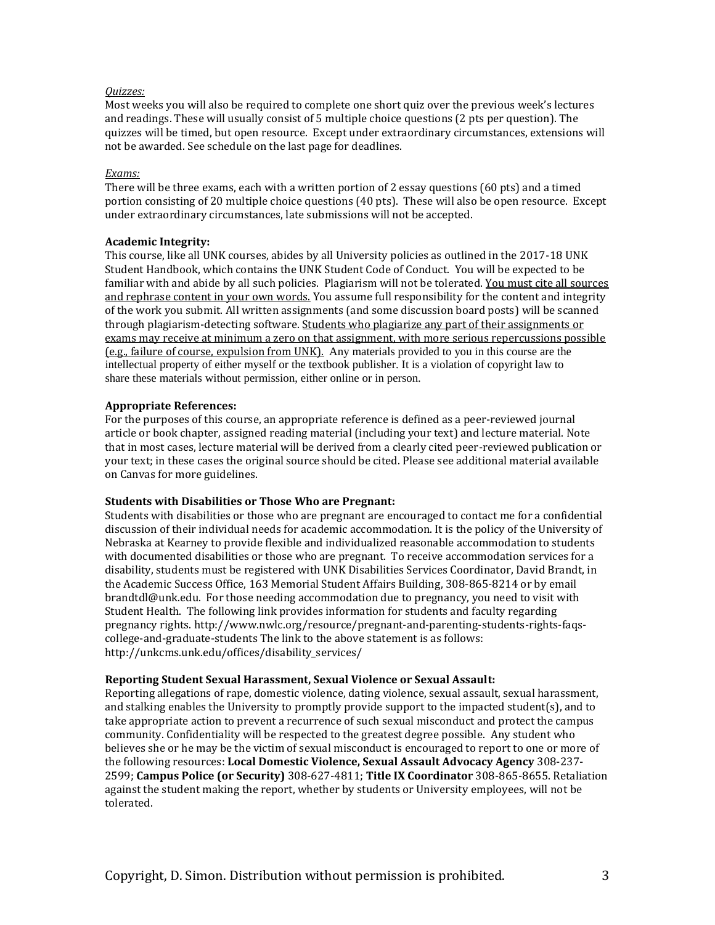#### *Quizzes:*

Most weeks you will also be required to complete one short quiz over the previous week's lectures and readings. These will usually consist of 5 multiple choice questions (2 pts per question). The quizzes will be timed, but open resource. Except under extraordinary circumstances, extensions will not be awarded. See schedule on the last page for deadlines.

### *Exams:*

There will be three exams, each with a written portion of 2 essay questions (60 pts) and a timed portion consisting of 20 multiple choice questions (40 pts). These will also be open resource. Except under extraordinary circumstances, late submissions will not be accepted.

## **Academic Integrity:**

This course, like all UNK courses, abides by all University policies as outlined in the 2017-18 UNK Student Handbook, which contains the UNK Student Code of Conduct. You will be expected to be familiar with and abide by all such policies. Plagiarism will not be tolerated. You must cite all sources and rephrase content in your own words. You assume full responsibility for the content and integrity of the work you submit. All written assignments (and some discussion board posts) will be scanned through plagiarism-detecting software. Students who plagiarize any part of their assignments or exams may receive at minimum a zero on that assignment, with more serious repercussions possible (e.g., failure of course, expulsion from UNK). Any materials provided to you in this course are the intellectual property of either myself or the textbook publisher. It is a violation of copyright law to share these materials without permission, either online or in person.

#### **Appropriate References:**

For the purposes of this course, an appropriate reference is defined as a peer-reviewed journal article or book chapter, assigned reading material (including your text) and lecture material. Note that in most cases, lecture material will be derived from a clearly cited peer-reviewed publication or your text; in these cases the original source should be cited. Please see additional material available on Canvas for more guidelines.

## **Students with Disabilities or Those Who are Pregnant:**

Students with disabilities or those who are pregnant are encouraged to contact me for a confidential discussion of their individual needs for academic accommodation. It is the policy of the University of Nebraska at Kearney to provide flexible and individualized reasonable accommodation to students with documented disabilities or those who are pregnant. To receive accommodation services for a disability, students must be registered with UNK Disabilities Services Coordinator, David Brandt, in the Academic Success Office, 163 Memorial Student Affairs Building, 308-865-8214 or by email brandtdl@unk.edu. For those needing accommodation due to pregnancy, you need to visit with Student Health. The following link provides information for students and faculty regarding pregnancy rights. http://www.nwlc.org/resource/pregnant-and-parenting-students-rights-faqscollege-and-graduate-students The link to the above statement is as follows: http://unkcms.unk.edu/offices/disability\_services/

## **Reporting Student Sexual Harassment, Sexual Violence or Sexual Assault:**

Reporting allegations of rape, domestic violence, dating violence, sexual assault, sexual harassment, and stalking enables the University to promptly provide support to the impacted student(s), and to take appropriate action to prevent a recurrence of such sexual misconduct and protect the campus community. Confidentiality will be respected to the greatest degree possible. Any student who believes she or he may be the victim of sexual misconduct is encouraged to report to one or more of the following resources: **Local Domestic Violence, Sexual Assault Advocacy Agency** 308-237- 2599; **Campus Police (or Security)** 308-627-4811; **Title IX Coordinator** 308-865-8655. Retaliation against the student making the report, whether by students or University employees, will not be tolerated.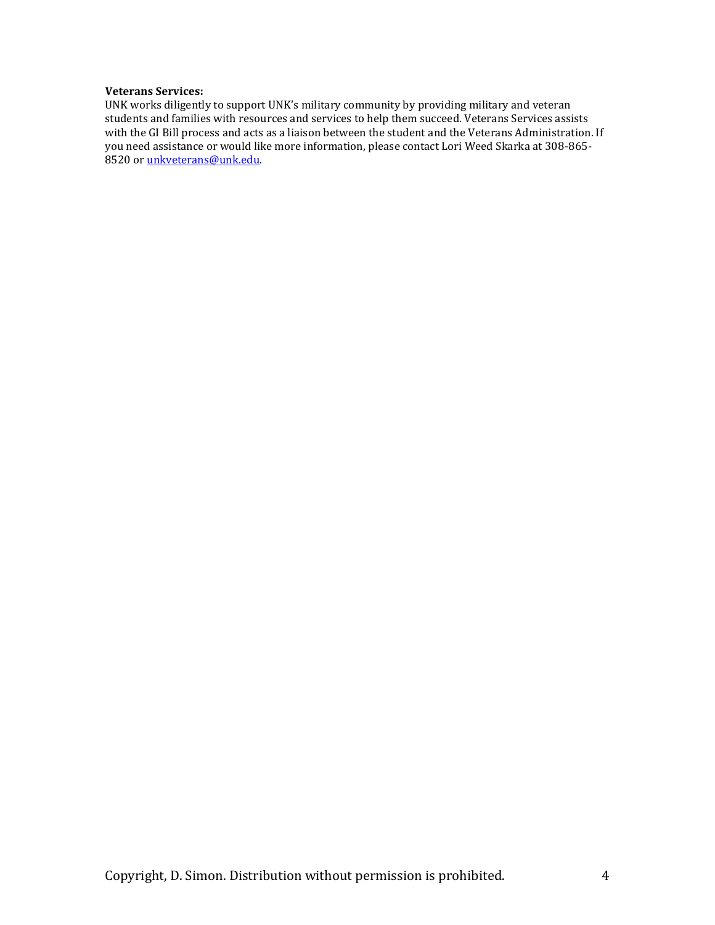## **Veterans Services:**

UNK works diligently to support UNK's military community by providing military and veteran students and families with resources and services to help them succeed. Veterans Services assists with the GI Bill process and acts as a liaison between the student and the Veterans Administration. If you need assistance or would like more information, please contact Lori Weed Skarka at 308-865- 8520 or [unkveterans@unk.edu.](mailto:unkveterans@unk.edu)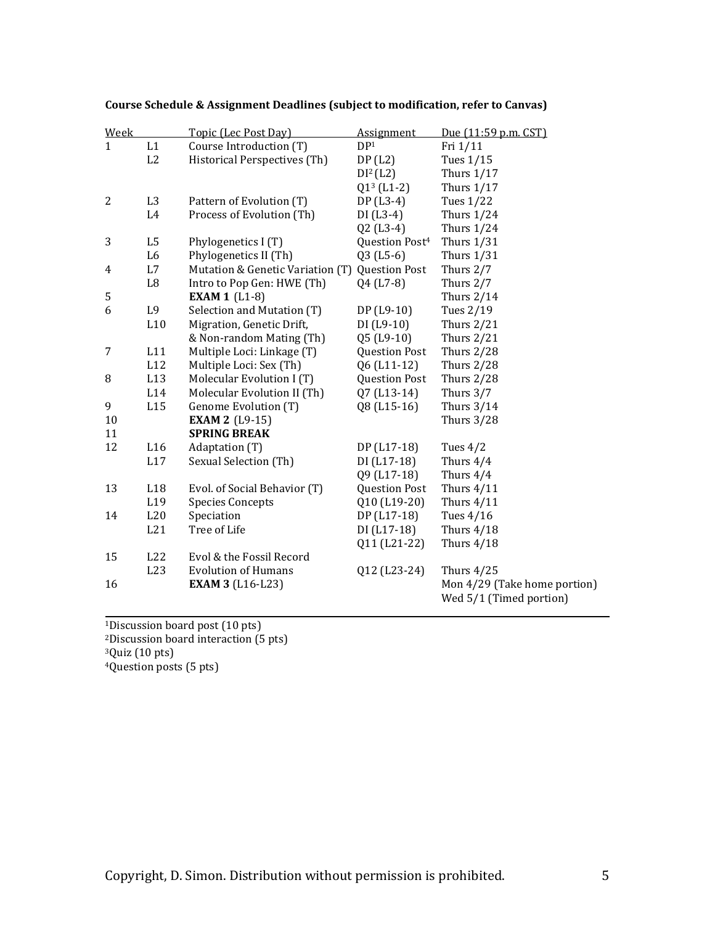| Week             |                | Topic (Lec Post Day)             | <b>Assignment</b>          | Due (11:59 p.m. CST)                                    |
|------------------|----------------|----------------------------------|----------------------------|---------------------------------------------------------|
| $\mathbf{1}$     | L1             | Course Introduction (T)          | DP <sup>1</sup>            | Fri 1/11                                                |
|                  | L2             | Historical Perspectives (Th)     | DP(L2)                     | Tues 1/15                                               |
|                  |                |                                  | DI <sup>2</sup> (L2)       | Thurs $1/17$                                            |
|                  |                |                                  | $Q13$ (L1-2)               | Thurs $1/17$                                            |
| $\overline{c}$   | L <sub>3</sub> | Pattern of Evolution (T)         | DP (L3-4)                  | Tues 1/22                                               |
|                  | L4             | Process of Evolution (Th)        | $DI(L3-4)$                 | Thurs $1/24$                                            |
|                  |                |                                  | $Q2$ (L3-4)                | Thurs $1/24$                                            |
| 3                | L <sub>5</sub> | Phylogenetics I (T)              | Question Post <sup>4</sup> | Thurs $1/31$                                            |
|                  | L <sub>6</sub> | Phylogenetics II (Th)            | $Q3$ (L5-6)                | <b>Thurs 1/31</b>                                       |
| 4                | L7             | Mutation & Genetic Variation (T) | <b>Question Post</b>       | Thurs 2/7                                               |
|                  | L8             | Intro to Pop Gen: HWE (Th)       | Q4 (L7-8)                  | Thurs 2/7                                               |
| 5                |                | <b>EXAM 1</b> (L1-8)             |                            | Thurs $2/14$                                            |
| 6                | L9             | Selection and Mutation (T)       | DP (L9-10)                 | Tues 2/19                                               |
|                  | L10            | Migration, Genetic Drift,        | $DI(L9-10)$                | Thurs $2/21$                                            |
|                  |                | & Non-random Mating (Th)         | Q5 (L9-10)                 | Thurs $2/21$                                            |
| $\boldsymbol{7}$ | L11            | Multiple Loci: Linkage (T)       | <b>Question Post</b>       | <b>Thurs 2/28</b>                                       |
|                  | L12            | Multiple Loci: Sex (Th)          | Q6 (L11-12)                | <b>Thurs 2/28</b>                                       |
| 8                | L13            | Molecular Evolution I (T)        | <b>Question Post</b>       | <b>Thurs 2/28</b>                                       |
|                  | L14            | Molecular Evolution II (Th)      | Q7 (L13-14)                | Thurs 3/7                                               |
| 9                | L15            | Genome Evolution (T)             | Q8 (L15-16)                | <b>Thurs 3/14</b>                                       |
| 10               |                | <b>EXAM 2 (L9-15)</b>            |                            | <b>Thurs 3/28</b>                                       |
| 11               |                | <b>SPRING BREAK</b>              |                            |                                                         |
| 12               | L16            | Adaptation (T)                   | DP (L17-18)                | Tues $4/2$                                              |
|                  | L17            | Sexual Selection (Th)            | $DI(L17-18)$               | Thurs 4/4                                               |
|                  |                |                                  | Q9 (L17-18)                | Thurs 4/4                                               |
| 13               | L18            | Evol. of Social Behavior (T)     | <b>Question Post</b>       | Thurs $4/11$                                            |
|                  | L19            | <b>Species Concepts</b>          | Q10 (L19-20)               | Thurs $4/11$                                            |
| 14               | L20            | Speciation                       | DP (L17-18)                | Tues 4/16                                               |
|                  | L21            | Tree of Life                     | DI (L17-18)                | Thurs $4/18$                                            |
|                  |                |                                  | Q11 (L21-22)               | Thurs $4/18$                                            |
| 15               | L22            | Evol & the Fossil Record         |                            |                                                         |
|                  | L23            | <b>Evolution of Humans</b>       | Q12 (L23-24)               | Thurs $4/25$                                            |
| 16               |                | <b>EXAM 3 (L16-L23)</b>          |                            | Mon 4/29 (Take home portion)<br>Wed 5/1 (Timed portion) |
|                  |                |                                  |                            |                                                         |

# **Course Schedule & Assignment Deadlines (subject to modification, refer to Canvas)**

<sup>1</sup>Discussion board post (10 pts) Discussion board interaction (5 pts) Quiz (10 pts) Question posts (5 pts)